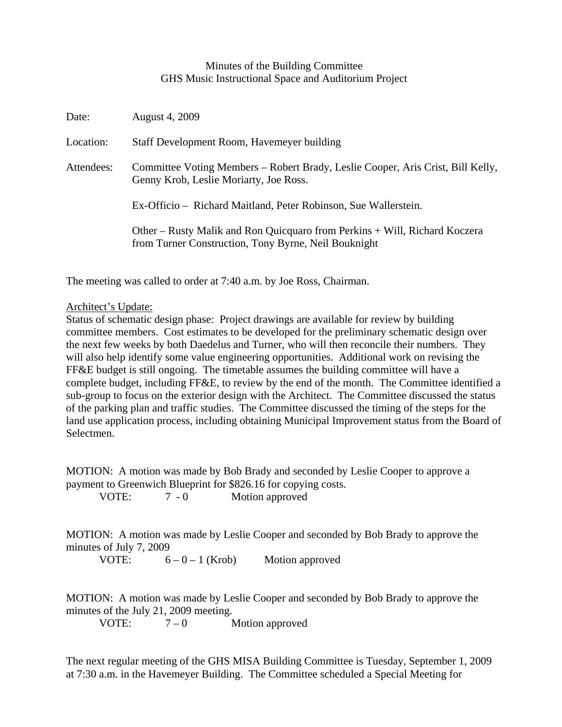## Minutes of the Building Committee GHS Music Instructional Space and Auditorium Project

| Date:      | <b>August 4, 2009</b>                                                                                                              |
|------------|------------------------------------------------------------------------------------------------------------------------------------|
| Location:  | Staff Development Room, Havemeyer building                                                                                         |
| Attendees: | Committee Voting Members – Robert Brady, Leslie Cooper, Aris Crist, Bill Kelly,<br>Genny Krob, Leslie Moriarty, Joe Ross.          |
|            | Ex-Officio – Richard Maitland, Peter Robinson, Sue Wallerstein.                                                                    |
|            | Other – Rusty Malik and Ron Quicquaro from Perkins + Will, Richard Koczera<br>from Turner Construction, Tony Byrne, Neil Bouknight |

The meeting was called to order at 7:40 a.m. by Joe Ross, Chairman.

## Architect's Update:

Status of schematic design phase: Project drawings are available for review by building committee members. Cost estimates to be developed for the preliminary schematic design over the next few weeks by both Daedelus and Turner, who will then reconcile their numbers. They will also help identify some value engineering opportunities. Additional work on revising the FF&E budget is still ongoing. The timetable assumes the building committee will have a complete budget, including FF&E, to review by the end of the month. The Committee identified a sub-group to focus on the exterior design with the Architect. The Committee discussed the status of the parking plan and traffic studies. The Committee discussed the timing of the steps for the land use application process, including obtaining Municipal Improvement status from the Board of Selectmen.

MOTION: A motion was made by Bob Brady and seconded by Leslie Cooper to approve a payment to Greenwich Blueprint for \$826.16 for copying costs.

VOTE:  $7 - 0$  Motion approved

MOTION: A motion was made by Leslie Cooper and seconded by Bob Brady to approve the minutes of July 7, 2009

VOTE:  $6 - 0 - 1$  (Krob) Motion approved

MOTION: A motion was made by Leslie Cooper and seconded by Bob Brady to approve the minutes of the July 21, 2009 meeting.

VOTE:  $7-0$  Motion approved

The next regular meeting of the GHS MISA Building Committee is Tuesday, September 1, 2009 at 7:30 a.m. in the Havemeyer Building. The Committee scheduled a Special Meeting for